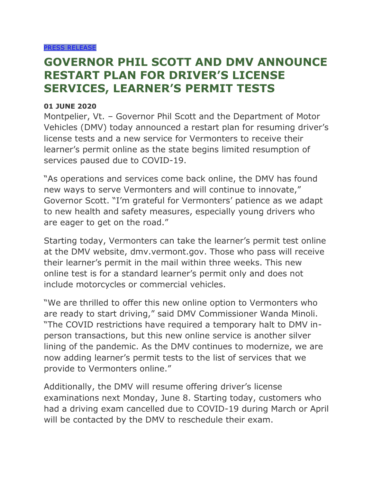## **GOVERNOR PHIL SCOTT AND DMV ANNOUNCE RESTART PLAN FOR DRIVER'S LICENSE SERVICES, LEARNER'S PERMIT TESTS**

## **01 JUNE 2020**

Montpelier, Vt. – Governor Phil Scott and the Department of Motor Vehicles (DMV) today announced a restart plan for resuming driver's license tests and a new service for Vermonters to receive their learner's permit online as the state begins limited resumption of services paused due to COVID-19.

"As operations and services come back online, the DMV has found new ways to serve Vermonters and will continue to innovate," Governor Scott. "I'm grateful for Vermonters' patience as we adapt to new health and safety measures, especially young drivers who are eager to get on the road."

Starting today, Vermonters can take the learner's permit test online at the DMV website, dmv.vermont.gov. Those who pass will receive their learner's permit in the mail within three weeks. This new online test is for a standard learner's permit only and does not include motorcycles or commercial vehicles.

"We are thrilled to offer this new online option to Vermonters who are ready to start driving," said DMV Commissioner Wanda Minoli. "The COVID restrictions have required a temporary halt to DMV inperson transactions, but this new online service is another silver lining of the pandemic. As the DMV continues to modernize, we are now adding learner's permit tests to the list of services that we provide to Vermonters online."

Additionally, the DMV will resume offering driver's license examinations next Monday, June 8. Starting today, customers who had a driving exam cancelled due to COVID-19 during March or April will be contacted by the DMV to reschedule their exam.